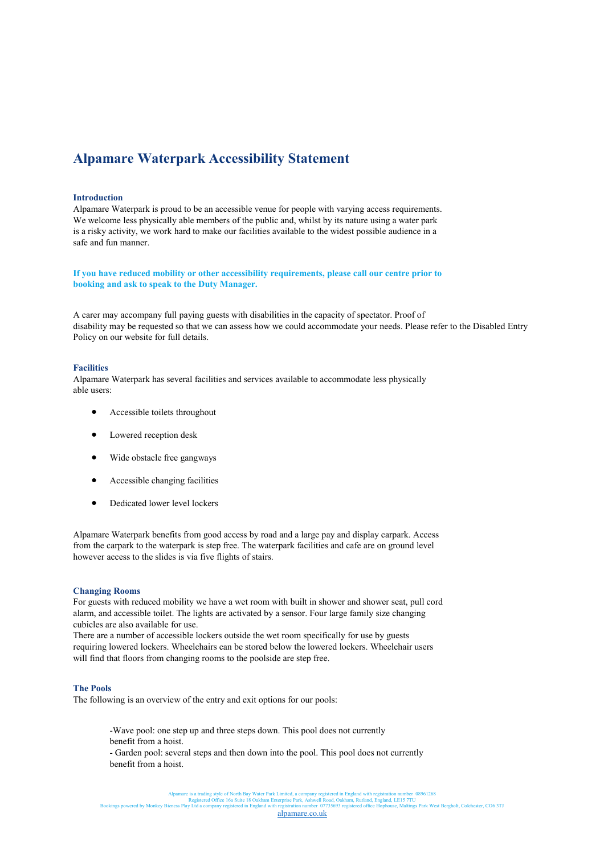# **Alpamare Waterpark Accessibility Statement**

# **Introduction**

Alpamare Waterpark is proud to be an accessible venue for people with varying access requirements. We welcome less physically able members of the public and, whilst by its nature using a water park is a risky activity, we work hard to make our facilities available to the widest possible audience in a safe and fun manner.

**If you have reduced mobility or other accessibility requirements, please call our centre prior to booking and ask to speak to the Duty Manager.**

A carer may accompany full paying guests with disabilities in the capacity of spectator. Proof of disability may be requested so that we can assess how we could accommodate your needs. Please refer to the Disabled Entry Policy on our website for full details.

#### **Facilities**

Alpamare Waterpark has several facilities and services available to accommodate less physically able users:

- Accessible toilets throughout
- Lowered reception desk
- Wide obstacle free gangways
- Accessible changing facilities
- Dedicated lower level lockers

Alpamare Waterpark benefits from good access by road and a large pay and display carpark. Access from the carpark to the waterpark is step free. The waterpark facilities and cafe are on ground level however access to the slides is via five flights of stairs.

#### **Changing Rooms**

For guests with reduced mobility we have a wet room with built in shower and shower seat, pull cord alarm, and accessible toilet. The lights are activated by a sensor. Four large family size changing cubicles are also available for use.

There are a number of accessible lockers outside the wet room specifically for use by guests requiring lowered lockers. Wheelchairs can be stored below the lowered lockers. Wheelchair users will find that floors from changing rooms to the poolside are step free.

## **The Pools**

The following is an overview of the entry and exit options for our pools:

-Wave pool: one step up and three steps down. This pool does not currently benefit from a hoist.

- Garden pool: several steps and then down into the pool. This pool does not currently benefit from a hoist.

Alpamare is a trading style of North Bay Water Park Limited, a company registered in England with registration number 08961268<br>Rookings powered by Monkey Bizness Play Ltd a company registered in England with registration n